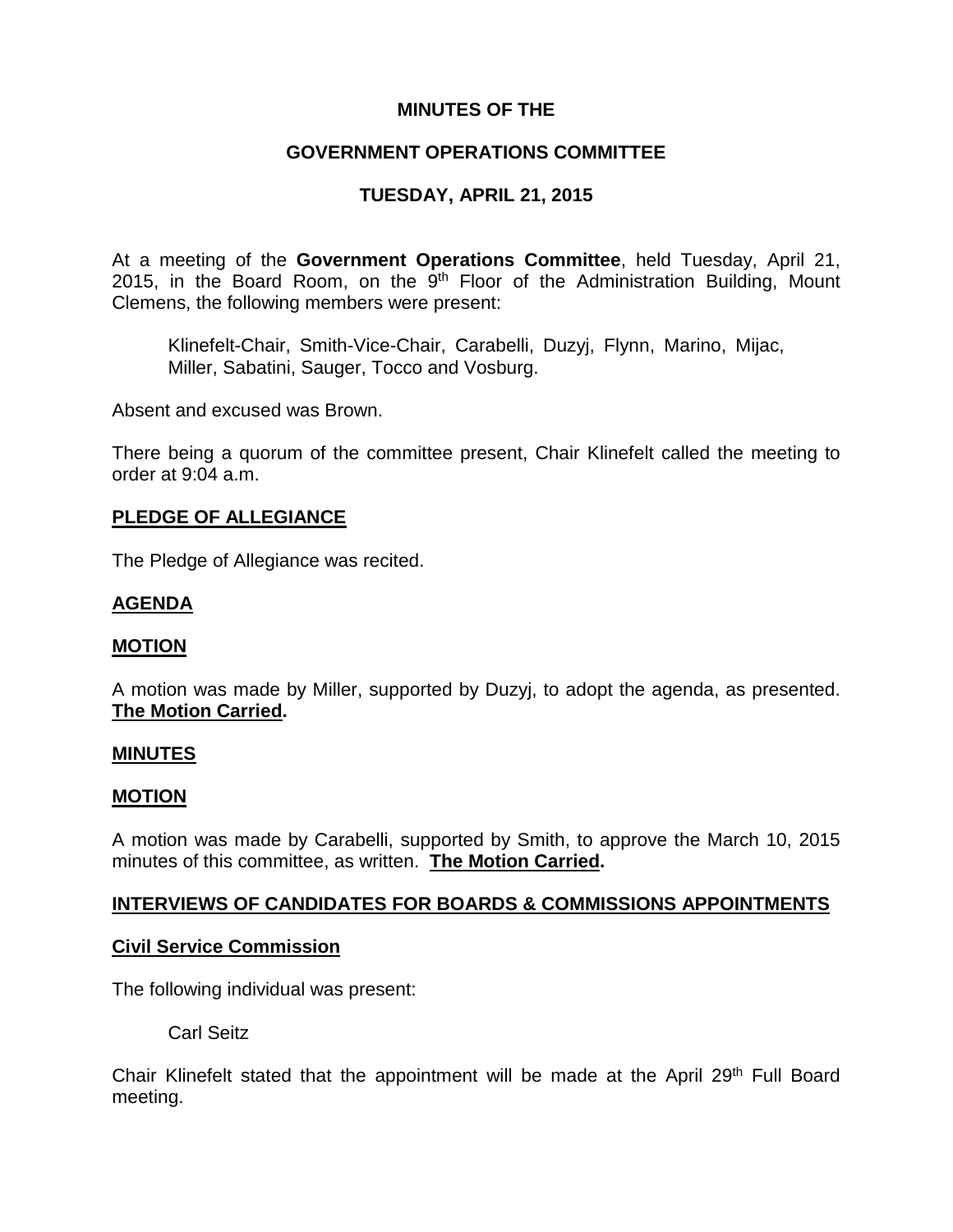## **MINUTES OF THE**

## **GOVERNMENT OPERATIONS COMMITTEE**

# **TUESDAY, APRIL 21, 2015**

At a meeting of the **Government Operations Committee**, held Tuesday, April 21, 2015, in the Board Room, on the  $9<sup>th</sup>$  Floor of the Administration Building, Mount Clemens, the following members were present:

Klinefelt-Chair, Smith-Vice-Chair, Carabelli, Duzyj, Flynn, Marino, Mijac, Miller, Sabatini, Sauger, Tocco and Vosburg.

Absent and excused was Brown.

There being a quorum of the committee present, Chair Klinefelt called the meeting to order at 9:04 a.m.

### **PLEDGE OF ALLEGIANCE**

The Pledge of Allegiance was recited.

### **AGENDA**

### **MOTION**

A motion was made by Miller, supported by Duzyj, to adopt the agenda, as presented. **The Motion Carried.**

#### **MINUTES**

#### **MOTION**

A motion was made by Carabelli, supported by Smith, to approve the March 10, 2015 minutes of this committee, as written. **The Motion Carried.**

### **INTERVIEWS OF CANDIDATES FOR BOARDS & COMMISSIONS APPOINTMENTS**

### **Civil Service Commission**

The following individual was present:

Carl Seitz

Chair Klinefelt stated that the appointment will be made at the April 29<sup>th</sup> Full Board meeting.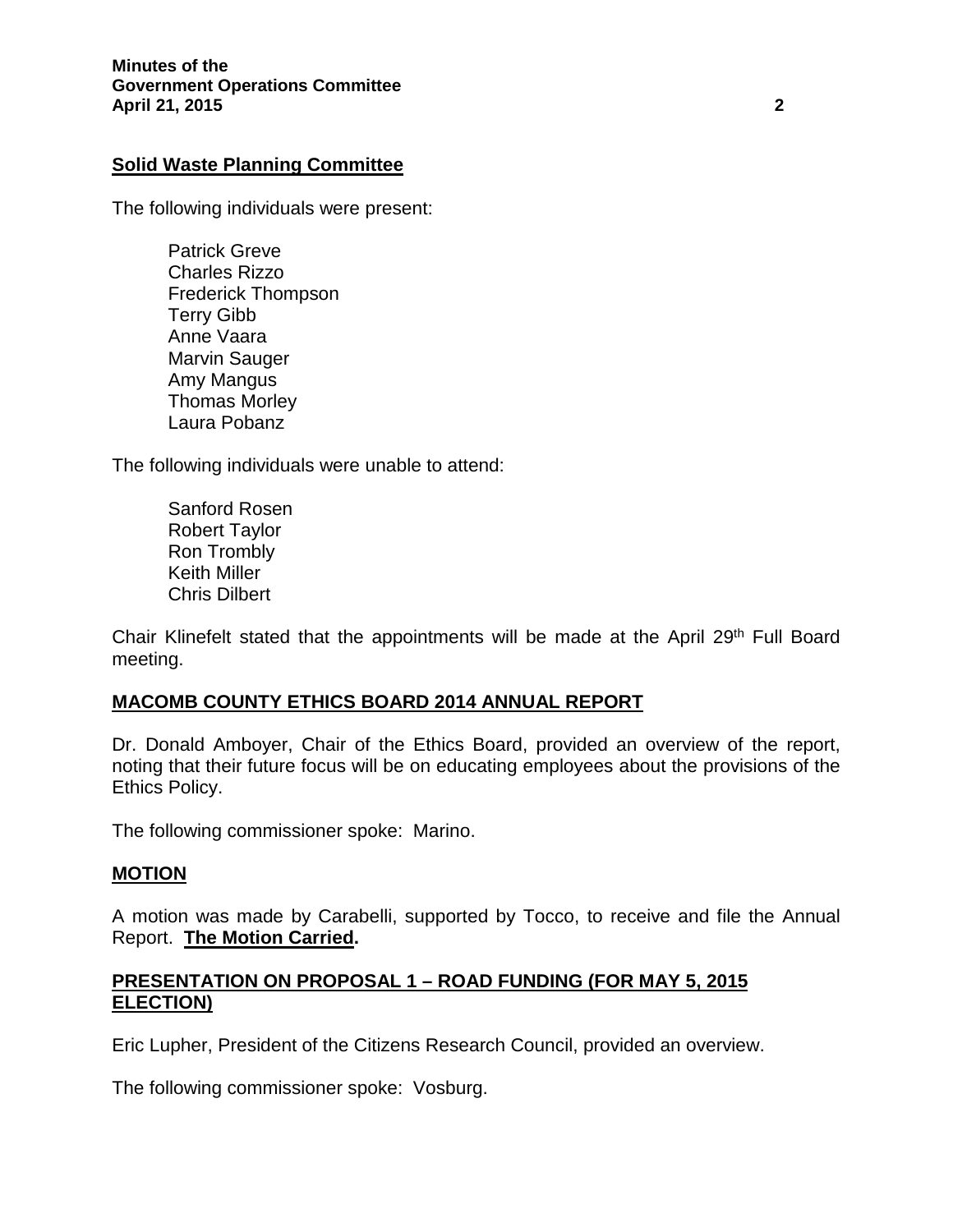## **Solid Waste Planning Committee**

The following individuals were present:

Patrick Greve Charles Rizzo Frederick Thompson Terry Gibb Anne Vaara Marvin Sauger Amy Mangus Thomas Morley Laura Pobanz

The following individuals were unable to attend:

Sanford Rosen Robert Taylor Ron Trombly Keith Miller Chris Dilbert

Chair Klinefelt stated that the appointments will be made at the April 29<sup>th</sup> Full Board meeting.

## **MACOMB COUNTY ETHICS BOARD 2014 ANNUAL REPORT**

Dr. Donald Amboyer, Chair of the Ethics Board, provided an overview of the report, noting that their future focus will be on educating employees about the provisions of the Ethics Policy.

The following commissioner spoke: Marino.

### **MOTION**

A motion was made by Carabelli, supported by Tocco, to receive and file the Annual Report. **The Motion Carried.**

## **PRESENTATION ON PROPOSAL 1 – ROAD FUNDING (FOR MAY 5, 2015 ELECTION)**

Eric Lupher, President of the Citizens Research Council, provided an overview.

The following commissioner spoke: Vosburg.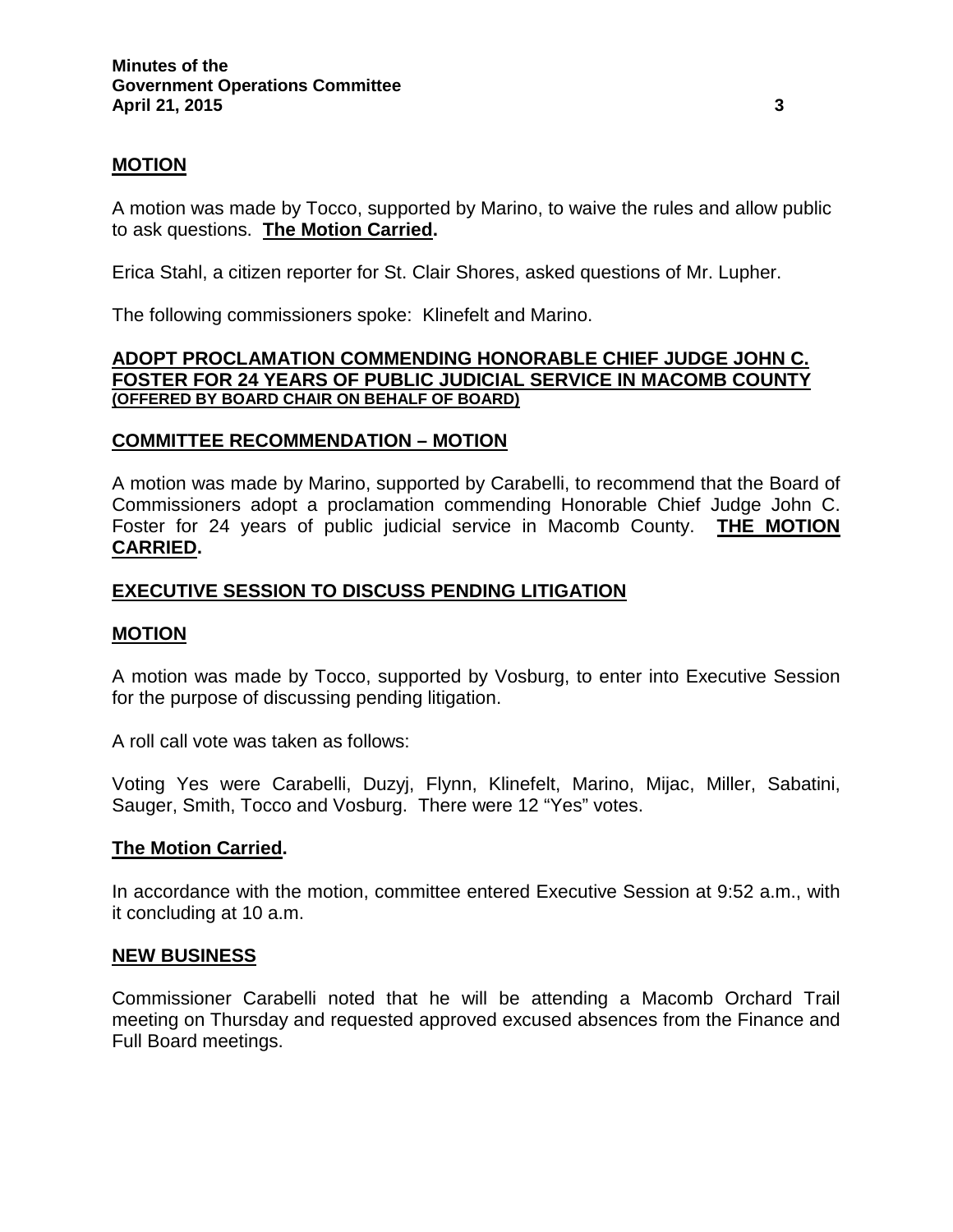### **MOTION**

A motion was made by Tocco, supported by Marino, to waive the rules and allow public to ask questions. **The Motion Carried.**

Erica Stahl, a citizen reporter for St. Clair Shores, asked questions of Mr. Lupher.

The following commissioners spoke: Klinefelt and Marino.

#### **ADOPT PROCLAMATION COMMENDING HONORABLE CHIEF JUDGE JOHN C. FOSTER FOR 24 YEARS OF PUBLIC JUDICIAL SERVICE IN MACOMB COUNTY (OFFERED BY BOARD CHAIR ON BEHALF OF BOARD)**

### **COMMITTEE RECOMMENDATION – MOTION**

A motion was made by Marino, supported by Carabelli, to recommend that the Board of Commissioners adopt a proclamation commending Honorable Chief Judge John C. Foster for 24 years of public judicial service in Macomb County. **THE MOTION CARRIED.**

### **EXECUTIVE SESSION TO DISCUSS PENDING LITIGATION**

### **MOTION**

A motion was made by Tocco, supported by Vosburg, to enter into Executive Session for the purpose of discussing pending litigation.

A roll call vote was taken as follows:

Voting Yes were Carabelli, Duzyj, Flynn, Klinefelt, Marino, Mijac, Miller, Sabatini, Sauger, Smith, Tocco and Vosburg. There were 12 "Yes" votes.

### **The Motion Carried.**

In accordance with the motion, committee entered Executive Session at 9:52 a.m., with it concluding at 10 a.m.

### **NEW BUSINESS**

Commissioner Carabelli noted that he will be attending a Macomb Orchard Trail meeting on Thursday and requested approved excused absences from the Finance and Full Board meetings.